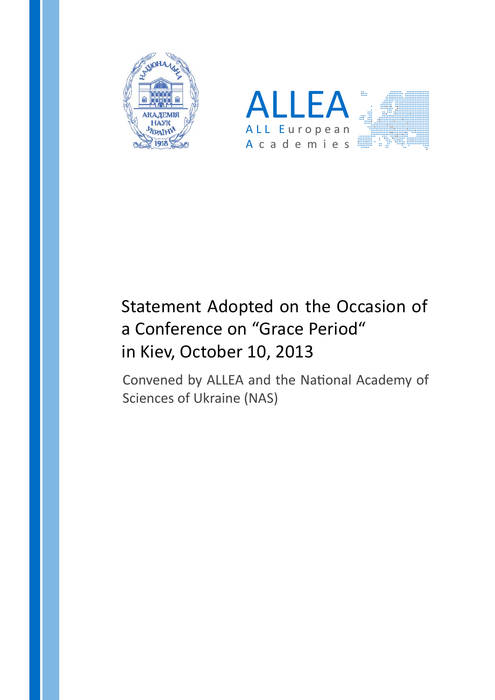



# Statement Adopted on the Occasion of a Conference on "Grace Period" in Kiev, October 10, 2013

Convened by ALLEA and the National Academy of Sciences of Ukraine (NAS)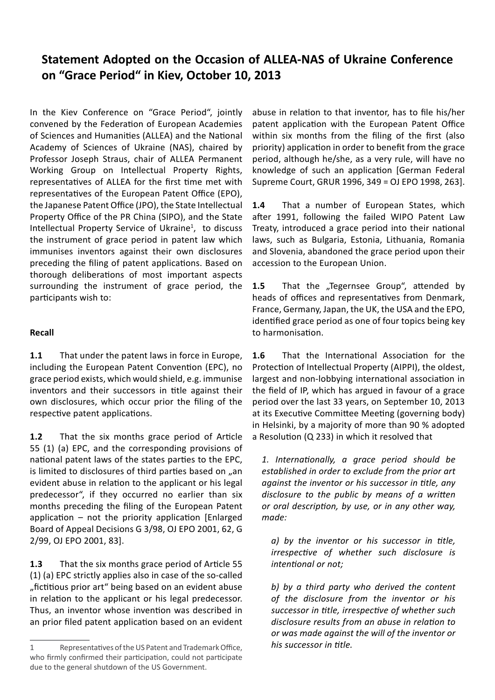# **Statement Adopted on the Occasion of ALLEA-NAS of Ukraine Conference on "Grace Period" in Kiev, October 10, 2013**

In the Kiev Conference on "Grace Period", jointly convened by the Federation of European Academies of Sciences and Humanities (ALLEA) and the National Academy of Sciences of Ukraine (NAS), chaired by Professor Joseph Straus, chair of ALLEA Permanent Working Group on Intellectual Property Rights, representatives of ALLEA for the first time met with representatives of the European Patent Office (EPO), the Japanese Patent Office (JPO), the State Intellectual Property Office of the PR China (SIPO), and the State Intellectual Property Service of Ukraine<sup>1</sup>, to discuss the instrument of grace period in patent law which immunises inventors against their own disclosures preceding the filing of patent applications. Based on thorough deliberations of most important aspects surrounding the instrument of grace period, the participants wish to:

#### **Recall**

**1.1** That under the patent laws in force in Europe, including the European Patent Convention (EPC), no grace period exists, which would shield, e.g. immunise inventors and their successors in title against their own disclosures, which occur prior the filing of the respective patent applications.

**1.2** That the six months grace period of Article 55 (1) (a) EPC, and the corresponding provisions of national patent laws of the states parties to the EPC, is limited to disclosures of third parties based on "an evident abuse in relation to the applicant or his legal predecessor", if they occurred no earlier than six months preceding the filing of the European Patent application – not the priority application [Enlarged Board of Appeal Decisions G 3/98, OJ EPO 2001, 62, G 2/99, OJ EPO 2001, 83].

**1.3** That the six months grace period of Article 55 (1) (a) EPC strictly applies also in case of the so-called "fictitious prior art" being based on an evident abuse in relation to the applicant or his legal predecessor. Thus, an inventor whose invention was described in an prior filed patent application based on an evident abuse in relation to that inventor, has to file his/her patent application with the European Patent Office within six months from the filing of the first (also priority) application in order to benefit from the grace period, although he/she, as a very rule, will have no knowledge of such an application [German Federal Supreme Court, GRUR 1996, 349 = OJ EPO 1998, 263].

**1.4** That a number of European States, which after 1991, following the failed WIPO Patent Law Treaty, introduced a grace period into their national laws, such as Bulgaria, Estonia, Lithuania, Romania and Slovenia, abandoned the grace period upon their accession to the European Union.

**1.5** That the "Tegernsee Group", attended by heads of offices and representatives from Denmark, France, Germany, Japan, the UK, the USA and the EPO, identified grace period as one of four topics being key to harmonisation.

**1.6** That the International Association for the Protection of Intellectual Property (AIPPI), the oldest, largest and non-lobbying international association in the field of IP, which has argued in favour of a grace period over the last 33 years, on September 10, 2013 at its Executive Committee Meeting (governing body) in Helsinki, by a majority of more than 90 % adopted a Resolution (Q 233) in which it resolved that

*1. Internationally, a grace period should be established in order to exclude from the prior art against the inventor or his successor in title, any disclosure to the public by means of a written or oral description, by use, or in any other way, made:*

*a) by the inventor or his successor in title, irrespective of whether such disclosure is intentional or not;*

*b) by a third party who derived the content of the disclosure from the inventor or his successor in title, irrespective of whether such disclosure results from an abuse in relation to or was made against the will of the inventor or his successor in title.*

<sup>1</sup> Representatives of the US Patent and Trademark Office, who firmly confirmed their participation, could not participate due to the general shutdown of the US Government.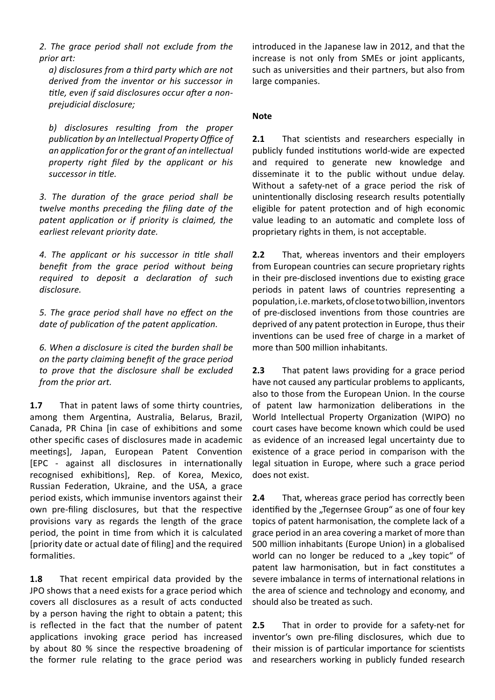*2. The grace period shall not exclude from the prior art:*

*a) disclosures from a third party which are not derived from the inventor or his successor in title, even if said disclosures occur after a nonprejudicial disclosure;*

*b) disclosures resulting from the proper publication by an Intellectual Property Office of an application for or the grant of an intellectual property right filed by the applicant or his successor in title.*

*3. The duration of the grace period shall be twelve months preceding the filing date of the patent application or if priority is claimed, the earliest relevant priority date.*

*4. The applicant or his successor in title shall benefit from the grace period without being required to deposit a declaration of such disclosure.*

*5. The grace period shall have no effect on the date of publication of the patent application.*

*6. When a disclosure is cited the burden shall be on the party claiming benefit of the grace period to prove that the disclosure shall be excluded from the prior art.*

**1.7** That in patent laws of some thirty countries, among them Argentina, Australia, Belarus, Brazil, Canada, PR China [in case of exhibitions and some other specific cases of disclosures made in academic meetings], Japan, European Patent Convention [EPC - against all disclosures in internationally recognised exhibitions], Rep. of Korea, Mexico, Russian Federation, Ukraine, and the USA, a grace period exists, which immunise inventors against their own pre-filing disclosures, but that the respective provisions vary as regards the length of the grace period, the point in time from which it is calculated [priority date or actual date of filing] and the required formalities.

**1.8** That recent empirical data provided by the JPO shows that a need exists for a grace period which covers all disclosures as a result of acts conducted by a person having the right to obtain a patent; this is reflected in the fact that the number of patent applications invoking grace period has increased by about 80 % since the respective broadening of the former rule relating to the grace period was

introduced in the Japanese law in 2012, and that the increase is not only from SMEs or joint applicants, such as universities and their partners, but also from large companies.

#### **Note**

**2.1** That scientists and researchers especially in publicly funded institutions world-wide are expected and required to generate new knowledge and disseminate it to the public without undue delay. Without a safety-net of a grace period the risk of unintentionally disclosing research results potentially eligible for patent protection and of high economic value leading to an automatic and complete loss of proprietary rights in them, is not acceptable.

**2.2** That, whereas inventors and their employers from European countries can secure proprietary rights in their pre-disclosed inventions due to existing grace periods in patent laws of countries representing a population, i.e. markets, of close to two billion, inventors of pre-disclosed inventions from those countries are deprived of any patent protection in Europe, thus their inventions can be used free of charge in a market of more than 500 million inhabitants.

**2.3** That patent laws providing for a grace period have not caused any particular problems to applicants, also to those from the European Union. In the course of patent law harmonization deliberations in the World Intellectual Property Organization (WIPO) no court cases have become known which could be used as evidence of an increased legal uncertainty due to existence of a grace period in comparison with the legal situation in Europe, where such a grace period does not exist.

**2.4** That, whereas grace period has correctly been identified by the "Tegernsee Group" as one of four key topics of patent harmonisation, the complete lack of a grace period in an area covering a market of more than 500 million inhabitants (Europe Union) in a globalised world can no longer be reduced to a "key topic" of patent law harmonisation, but in fact constitutes a severe imbalance in terms of international relations in the area of science and technology and economy, and should also be treated as such.

**2.5** That in order to provide for a safety-net for inventor's own pre-filing disclosures, which due to their mission is of particular importance for scientists and researchers working in publicly funded research